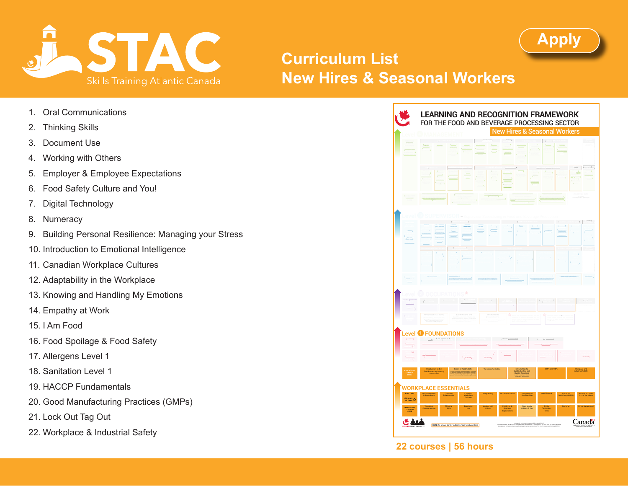

## **Curriculum List New Hires & Seasonal Workers**

- 1. Oral Communications
- 2. Thinking Skills
- 3. Document Use
- 4. Working with Others
- 5. Employer & Employee Expectations
- 6. Food Safety Culture and You!
- 7. Digital Technology
- 8. Numeracy
- 9. Building Personal Resilience: Managing your Stress
- 10. Introduction to Emotional Intelligence
- 11. Canadian Workplace Cultures
- 12. Adaptability in the Workplace
- 13. Knowing and Handling My Emotions
- 14. Empathy at Work
- 15. I Am Food
- 16. Food Spoilage & Food Safety
- 17. Allergens Level 1
- 18. Sanitation Level 1
- 19. HACCP Fundamentals
- 20. Good Manufacturing Practices (GMPs)
- 21. Lock Out Tag Out
- 22. Workplace & Industrial Safety



**[Apply](https://stac-fpsc.com/apply/)** 

## **22 courses | 56 hours**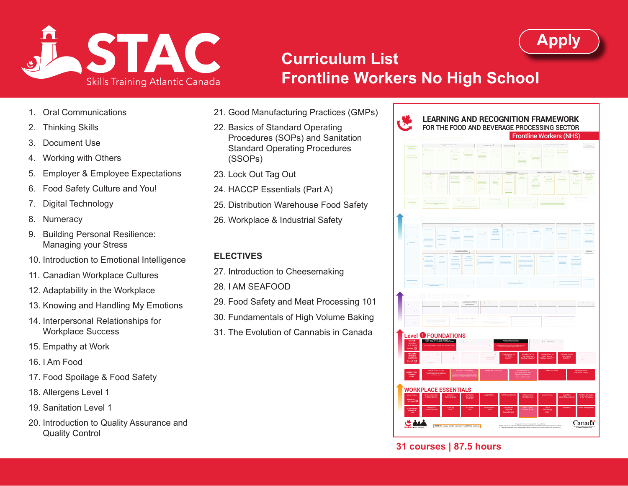

# **Curriculum List Frontline Workers No High School**

- 1. Oral Communications
- 2. Thinking Skills
- 3. Document Use
- 4. Working with Others
- 5. Employer & Employee Expectations
- 6. Food Safety Culture and You!
- 7. Digital Technology
- 8. Numeracy
- 9. Building Personal Resilience: Managing your Stress
- 10. Introduction to Emotional Intelligence
- 11. Canadian Workplace Cultures
- 12. Adaptability in the Workplace
- 13. Knowing and Handling My Emotions
- 14. Interpersonal Relationships for Workplace Success
- 15. Empathy at Work
- 16. I Am Food
- 17. Food Spoilage & Food Safety
- 18. Allergens Level 1
- 19. Sanitation Level 1
- 20. Introduction to Quality Assurance and Quality Control
- 21. Good Manufacturing Practices (GMPs)
- 22. Basics of Standard Operating Procedures (SOPs) and Sanitation Standard Operating Procedures (SSOPs)
- 23. Lock Out Tag Out
- 24. HACCP Essentials (Part A)
- 25. Distribution Warehouse Food Safety
- 26. Workplace & Industrial Safety

#### **ELECTIVES**

- 27. Introduction to Cheesemaking
- 28. I AM SEAFOOD
- 29. Food Safety and Meat Processing 101
- 30. Fundamentals of High Volume Baking
- 31. The Evolution of Cannabis in Canada



**[Apply](https://stac-fpsc.com/apply/)** 

## **31 courses | 87.5 hours**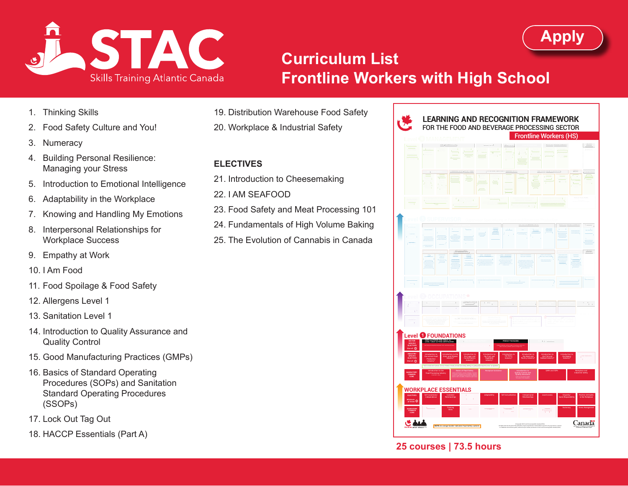

# **Curriculum List Frontline Workers with High School**

- 1. Thinking Skills
- 2. Food Safety Culture and You!
- 3. Numeracy
- 4. Building Personal Resilience: Managing your Stress
- 5. Introduction to Emotional Intelligence
- 6. Adaptability in the Workplace
- 7. Knowing and Handling My Emotions
- 8. Interpersonal Relationships for Workplace Success
- 9. Empathy at Work
- 10. I Am Food
- 11. Food Spoilage & Food Safety
- 12. Allergens Level 1
- 13. Sanitation Level 1
- 14. Introduction to Quality Assurance and Quality Control
- 15. Good Manufacturing Practices (GMPs)
- 16. Basics of Standard Operating Procedures (SOPs) and Sanitation Standard Operating Procedures (SSOPs)
- 17. Lock Out Tag Out
- 18. HACCP Essentials (Part A)
- 19. Distribution Warehouse Food Safety
- 20. Workplace & Industrial Safety

#### **ELECTIVES**

- 21. Introduction to Cheesemaking
- 22. I AM SEAFOOD
- 23. Food Safety and Meat Processing 101
- 24. Fundamentals of High Volume Baking
- 25. The Evolution of Cannabis in Canada



**[Apply](https://stac-fpsc.com/apply/)** 

## **25 courses | 73.5 hours**